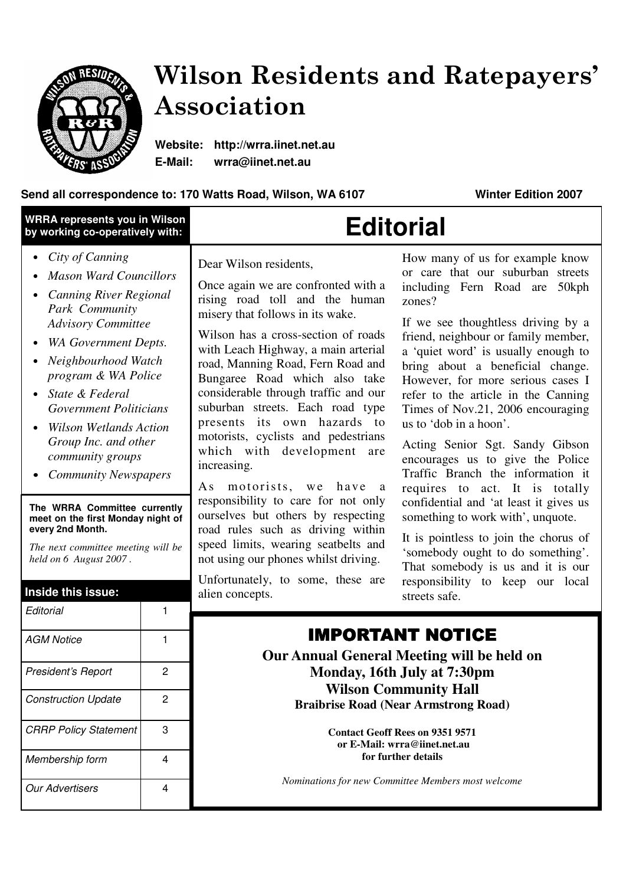

# Wilson Residents and Ratepayers' Association

**Website: http://wrra.iinet.net.au E-Mail: wrra@iinet.net.au** 

### **Send all correspondence to: 170 Watts Road, Wilson, WA 6107 Winter Edition 2007**

| <b>WRRA represents you in Wilson</b><br>by working co-operatively with:                                                                                                                                                                                                                                                                                                                                                                                                                                                                                            |                                       | <b>Editorial</b>                                                                                                                                                                                                                                                                                                                                                                                                                                                                                                                                                                                                                                                                                                                                                                 |                                                                                                                                                                                                                                                                                                                                                                                                                                                                                                                                                                                                                                                                                                                                                                                                                            |
|--------------------------------------------------------------------------------------------------------------------------------------------------------------------------------------------------------------------------------------------------------------------------------------------------------------------------------------------------------------------------------------------------------------------------------------------------------------------------------------------------------------------------------------------------------------------|---------------------------------------|----------------------------------------------------------------------------------------------------------------------------------------------------------------------------------------------------------------------------------------------------------------------------------------------------------------------------------------------------------------------------------------------------------------------------------------------------------------------------------------------------------------------------------------------------------------------------------------------------------------------------------------------------------------------------------------------------------------------------------------------------------------------------------|----------------------------------------------------------------------------------------------------------------------------------------------------------------------------------------------------------------------------------------------------------------------------------------------------------------------------------------------------------------------------------------------------------------------------------------------------------------------------------------------------------------------------------------------------------------------------------------------------------------------------------------------------------------------------------------------------------------------------------------------------------------------------------------------------------------------------|
| City of Canning<br>$\bullet$<br><b>Mason Ward Councillors</b><br><b>Canning River Regional</b><br>Park Community<br><b>Advisory Committee</b><br>WA Government Depts.<br>Neighbourhood Watch<br>program & WA Police<br>State & Federal<br><b>Government Politicians</b><br><b>Wilson Wetlands Action</b><br>Group Inc. and other<br>community groups<br><b>Community Newspapers</b><br>The WRRA Committee currently<br>meet on the first Monday night of<br>every 2nd Month.<br>The next committee meeting will be<br>held on 6 August 2007.<br>Inside this issue: |                                       | Dear Wilson residents,<br>Once again we are confronted with a<br>rising road toll and the human<br>misery that follows in its wake.<br>Wilson has a cross-section of roads<br>with Leach Highway, a main arterial<br>road, Manning Road, Fern Road and<br>Bungaree Road which also take<br>considerable through traffic and our<br>suburban streets. Each road type<br>presents its own hazards to<br>motorists, cyclists and pedestrians<br>which with development are<br>increasing.<br>motorists, we have<br>As<br>a<br>responsibility to care for not only<br>ourselves but others by respecting<br>road rules such as driving within<br>speed limits, wearing seatbelts and<br>not using our phones whilst driving.<br>Unfortunately, to some, these are<br>alien concepts. | How many of us for example know<br>or care that our suburban streets<br>including Fern Road are<br>50kph<br>zones?<br>If we see thoughtless driving by a<br>friend, neighbour or family member,<br>a 'quiet word' is usually enough to<br>bring about a beneficial change.<br>However, for more serious cases I<br>refer to the article in the Canning<br>Times of Nov.21, 2006 encouraging<br>us to 'dob in a hoon'.<br>Acting Senior Sgt. Sandy Gibson<br>encourages us to give the Police<br>Traffic Branch the information it<br>requires to act. It is totally<br>confidential and 'at least it gives us<br>something to work with', unquote.<br>It is pointless to join the chorus of<br>'somebody ought to do something'.<br>That somebody is us and it is our<br>responsibility to keep our local<br>streets safe. |
| Editorial<br><b>AGM Notice</b>                                                                                                                                                                                                                                                                                                                                                                                                                                                                                                                                     | 1<br>1                                | <b>IMPORTANT NOTICE</b>                                                                                                                                                                                                                                                                                                                                                                                                                                                                                                                                                                                                                                                                                                                                                          |                                                                                                                                                                                                                                                                                                                                                                                                                                                                                                                                                                                                                                                                                                                                                                                                                            |
| President's Report<br><b>Construction Update</b><br><b>CRRP Policy Statement</b>                                                                                                                                                                                                                                                                                                                                                                                                                                                                                   | $\overline{2}$<br>$\overline{c}$<br>3 | Our Annual General Meeting will be held on<br>Monday, 16th July at 7:30pm<br><b>Wilson Community Hall</b><br><b>Braibrise Road (Near Armstrong Road)</b><br><b>Contact Geoff Rees on 9351 9571</b><br>or E-Mail: wrra@iinet.net.au<br>for further details<br>Nominations for new Committee Members most welcome                                                                                                                                                                                                                                                                                                                                                                                                                                                                  |                                                                                                                                                                                                                                                                                                                                                                                                                                                                                                                                                                                                                                                                                                                                                                                                                            |
| Membership form<br><b>Our Advertisers</b>                                                                                                                                                                                                                                                                                                                                                                                                                                                                                                                          | 4<br>4                                |                                                                                                                                                                                                                                                                                                                                                                                                                                                                                                                                                                                                                                                                                                                                                                                  |                                                                                                                                                                                                                                                                                                                                                                                                                                                                                                                                                                                                                                                                                                                                                                                                                            |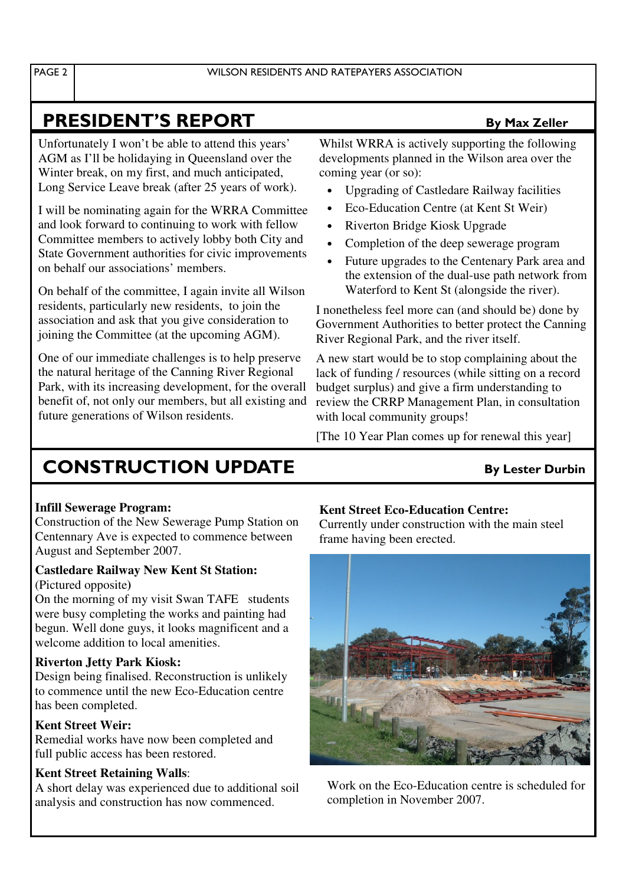## **PRESIDENT'S REPORT By Max Zeller**

Unfortunately I won't be able to attend this years' AGM as I'll be holidaying in Queensland over the Winter break, on my first, and much anticipated, Long Service Leave break (after 25 years of work).

I will be nominating again for the WRRA Committee and look forward to continuing to work with fellow Committee members to actively lobby both City and State Government authorities for civic improvements on behalf our associations' members.

On behalf of the committee, I again invite all Wilson residents, particularly new residents, to join the association and ask that you give consideration to joining the Committee (at the upcoming AGM).

One of our immediate challenges is to help preserve the natural heritage of the Canning River Regional Park, with its increasing development, for the overall benefit of, not only our members, but all existing and future generations of Wilson residents.

Whilst WRRA is actively supporting the following developments planned in the Wilson area over the coming year (or so):

- Upgrading of Castledare Railway facilities
- Eco-Education Centre (at Kent St Weir)
- Riverton Bridge Kiosk Upgrade
- Completion of the deep sewerage program
- Future upgrades to the Centenary Park area and the extension of the dual-use path network from Waterford to Kent St (alongside the river).

I nonetheless feel more can (and should be) done by Government Authorities to better protect the Canning River Regional Park, and the river itself.

A new start would be to stop complaining about the lack of funding / resources (while sitting on a record budget surplus) and give a firm understanding to review the CRRP Management Plan, in consultation with local community groups!

[The 10 Year Plan comes up for renewal this year]

## **CONSTRUCTION UPDATE** By Lester Durbin

### **Infill Sewerage Program:**

Construction of the New Sewerage Pump Station on Centennary Ave is expected to commence between August and September 2007.

#### **Castledare Railway New Kent St Station:**  (Pictured opposite**)**

On the morning of my visit Swan TAFE students were busy completing the works and painting had begun. Well done guys, it looks magnificent and a welcome addition to local amenities.

### **Riverton Jetty Park Kiosk:**

Design being finalised. Reconstruction is unlikely to commence until the new Eco-Education centre has been completed.

### **Kent Street Weir:**

Remedial works have now been completed and full public access has been restored.

### **Kent Street Retaining Walls**:

A short delay was experienced due to additional soil analysis and construction has now commenced.

### **Kent Street Eco-Education Centre:**

Currently under construction with the main steel frame having been erected.



Work on the Eco-Education centre is scheduled for completion in November 2007.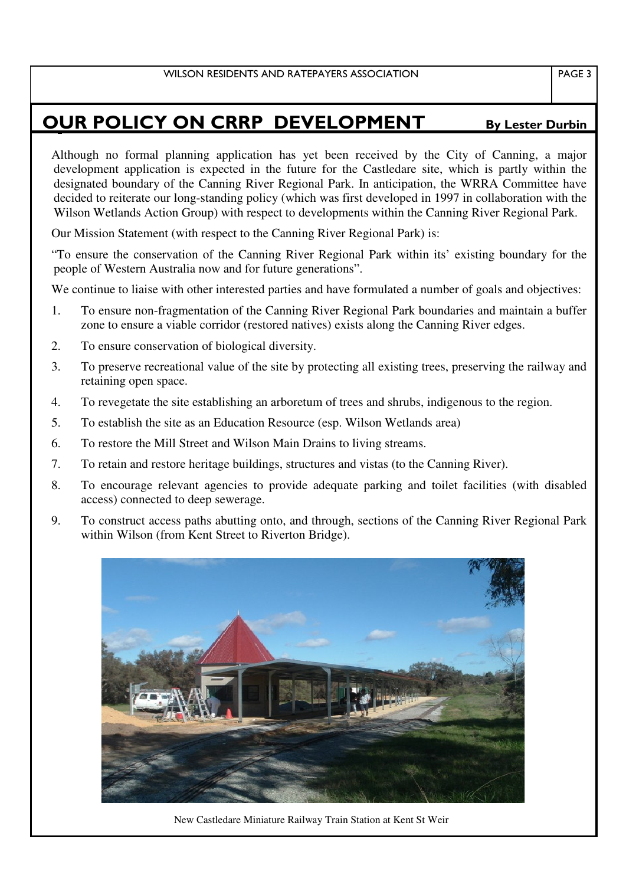## **OUR POLICY ON CRRP DEVELOPMENT** By Lester Durbin

Although no formal planning application has yet been received by the City of Canning, a major development application is expected in the future for the Castledare site, which is partly within the designated boundary of the Canning River Regional Park. In anticipation, the WRRA Committee have decided to reiterate our long-standing policy (which was first developed in 1997 in collaboration with the Wilson Wetlands Action Group) with respect to developments within the Canning River Regional Park.

Our Mission Statement (with respect to the Canning River Regional Park) is:

"To ensure the conservation of the Canning River Regional Park within its' existing boundary for the people of Western Australia now and for future generations".

We continue to liaise with other interested parties and have formulated a number of goals and objectives:

- 1. To ensure non-fragmentation of the Canning River Regional Park boundaries and maintain a buffer zone to ensure a viable corridor (restored natives) exists along the Canning River edges.
- 2. To ensure conservation of biological diversity.
- 3. To preserve recreational value of the site by protecting all existing trees, preserving the railway and retaining open space.
- 4. To revegetate the site establishing an arboretum of trees and shrubs, indigenous to the region.
- 5. To establish the site as an Education Resource (esp. Wilson Wetlands area)
- 6. To restore the Mill Street and Wilson Main Drains to living streams.
- 7. To retain and restore heritage buildings, structures and vistas (to the Canning River).
- 8. To encourage relevant agencies to provide adequate parking and toilet facilities (with disabled access) connected to deep sewerage.
- 9. To construct access paths abutting onto, and through, sections of the Canning River Regional Park within Wilson (from Kent Street to Riverton Bridge).



New Castledare Miniature Railway Train Station at Kent St Weir